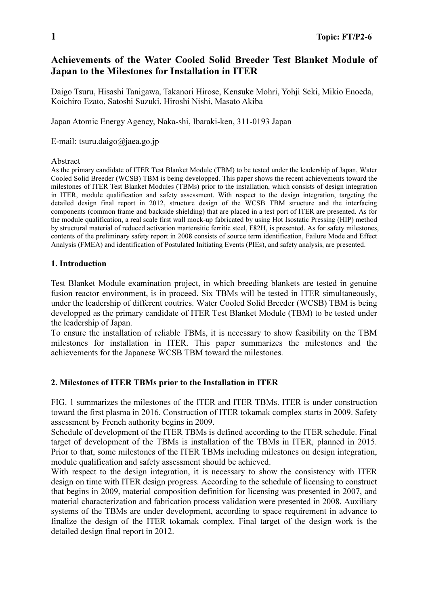# Achievements of the Water Cooled Solid Breeder Test Blanket Module of Japan to the Milestones for Installation in ITER

Daigo Tsuru, Hisashi Tanigawa, Takanori Hirose, Kensuke Mohri, Yohji Seki, Mikio Enoeda, Koichiro Ezato, Satoshi Suzuki, Hiroshi Nishi, Masato Akiba

Japan Atomic Energy Agency, Naka-shi, Ibaraki-ken, 311-0193 Japan

E-mail: tsuru.daigo@jaea.go.jp

#### Abstract

As the primary candidate of ITER Test Blanket Module (TBM) to be tested under the leadership of Japan, Water Cooled Solid Breeder (WCSB) TBM is being developped. This paper shows the recent achievements toward the milestones of ITER Test Blanket Modules (TBMs) prior to the installation, which consists of design integration in ITER, module qualification and safety assessment. With respect to the design integration, targeting the detailed design final report in 2012, structure design of the WCSB TBM structure and the interfacing components (common frame and backside shielding) that are placed in a test port of ITER are presented. As for the module qualification, a real scale first wall mock-up fabricated by using Hot Isostatic Pressing (HIP) method by structural material of reduced activation martensitic ferritic steel, F82H, is presented. As for safety milestones, contents of the preliminary safety report in 2008 consists of source term identification, Failure Mode and Effect Analysis (FMEA) and identification of Postulated Initiating Events (PIEs), and safety analysis, are presented.

### 1. Introduction

Test Blanket Module examination project, in which breeding blankets are tested in genuine fusion reactor environment, is in proceed. Six TBMs will be tested in ITER simultaneously, under the leadership of different coutries. Water Cooled Solid Breeder (WCSB) TBM is being developped as the primary candidate of ITER Test Blanket Module (TBM) to be tested under the leadership of Japan.

To ensure the installation of reliable TBMs, it is necessary to show feasibility on the TBM milestones for installation in ITER. This paper summarizes the milestones and the achievements for the Japanese WCSB TBM toward the milestones.

## 2. Milestones of ITER TBMs prior to the Installation in ITER

FIG. 1 summarizes the milestones of the ITER and ITER TBMs. ITER is under construction toward the first plasma in 2016. Construction of ITER tokamak complex starts in 2009. Safety assessment by French authority begins in 2009.

Schedule of development of the ITER TBMs is defined according to the ITER schedule. Final target of development of the TBMs is installation of the TBMs in ITER, planned in 2015. Prior to that, some milestones of the ITER TBMs including milestones on design integration, module qualification and safety assessment should be achieved.

With respect to the design integration, it is necessary to show the consistency with ITER design on time with ITER design progress. According to the schedule of licensing to construct that begins in 2009, material composition definition for licensing was presented in 2007, and material characterization and fabrication process validation were presented in 2008. Auxiliary systems of the TBMs are under development, according to space requirement in advance to finalize the design of the ITER tokamak complex. Final target of the design work is the detailed design final report in 2012.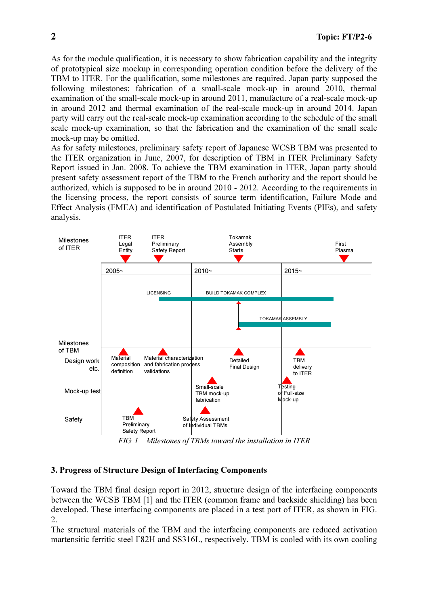As for the module qualification, it is necessary to show fabrication capability and the integrity of prototypical size mockup in corresponding operation condition before the delivery of the TBM to ITER. For the qualification, some milestones are required. Japan party supposed the following milestones; fabrication of a small-scale mock-up in around 2010, thermal examination of the small-scale mock-up in around 2011, manufacture of a real-scale mock-up in around 2012 and thermal examination of the real-scale mock-up in around 2014. Japan party will carry out the real-scale mock-up examination according to the schedule of the small scale mock-up examination, so that the fabrication and the examination of the small scale mock-up may be omitted.

As for safety milestones, preliminary safety report of Japanese WCSB TBM was presented to the ITER organization in June, 2007, for description of TBM in ITER Preliminary Safety Report issued in Jan. 2008. To achieve the TBM examination in ITER, Japan party should present safety assessment report of the TBM to the French authority and the report should be authorized, which is supposed to be in around 2010 - 2012. According to the requirements in the licensing process, the report consists of source term identification, Failure Mode and Effect Analysis (FMEA) and identification of Postulated Initiating Events (PIEs), and safety analysis.



FIG. 1 Milestones of TBMs toward the installation in ITER

#### 3. Progress of Structure Design of Interfacing Components

Toward the TBM final design report in 2012, structure design of the interfacing components between the WCSB TBM [1] and the ITER (common frame and backside shielding) has been developed. These interfacing components are placed in a test port of ITER, as shown in FIG. 2.

The structural materials of the TBM and the interfacing components are reduced activation martensitic ferritic steel F82H and SS316L, respectively. TBM is cooled with its own cooling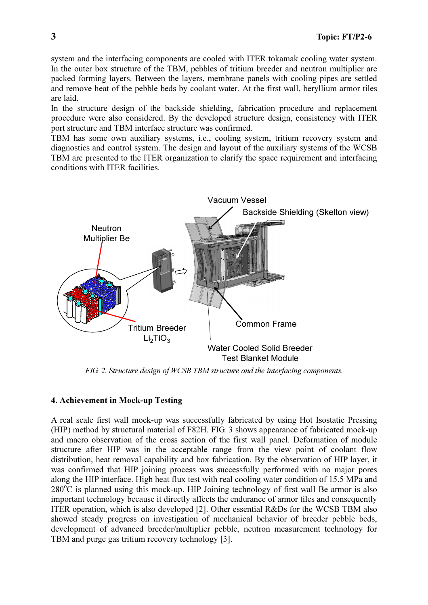system and the interfacing components are cooled with ITER tokamak cooling water system. In the outer box structure of the TBM, pebbles of tritium breeder and neutron multiplier are packed forming layers. Between the layers, membrane panels with cooling pipes are settled and remove heat of the pebble beds by coolant water. At the first wall, beryllium armor tiles are laid.

In the structure design of the backside shielding, fabrication procedure and replacement procedure were also considered. By the developed structure design, consistency with ITER port structure and TBM interface structure was confirmed.

TBM has some own auxiliary systems, i.e., cooling system, tritium recovery system and diagnostics and control system. The design and layout of the auxiliary systems of the WCSB TBM are presented to the ITER organization to clarify the space requirement and interfacing conditions with ITER facilities.



FIG. 2. Structure design of WCSB TBM structure and the interfacing components.

## 4. Achievement in Mock-up Testing

A real scale first wall mock-up was successfully fabricated by using Hot Isostatic Pressing (HIP) method by structural material of F82H. FIG. 3 shows appearance of fabricated mock-up and macro observation of the cross section of the first wall panel. Deformation of module structure after HIP was in the acceptable range from the view point of coolant flow distribution, heat removal capability and box fabrication. By the observation of HIP layer, it was confirmed that HIP joining process was successfully performed with no major pores along the HIP interface. High heat flux test with real cooling water condition of 15.5 MPa and  $280^{\circ}$ C is planned using this mock-up. HIP Joining technology of first wall Be armor is also important technology because it directly affects the endurance of armor tiles and consequently ITER operation, which is also developed [2]. Other essential R&Ds for the WCSB TBM also showed steady progress on investigation of mechanical behavior of breeder pebble beds, development of advanced breeder/multiplier pebble, neutron measurement technology for TBM and purge gas tritium recovery technology [3].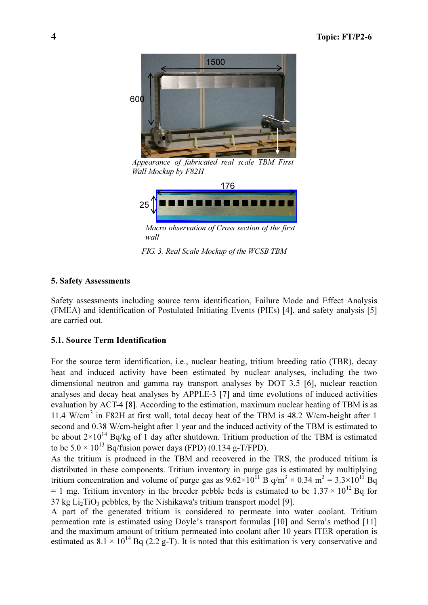

Appearance of fabricated real scale TBM First Wall Mockup by F82H



Macro observation of Cross section of the first wall

FIG. 3. Real Scale Mockup of the WCSB TBM

#### 5. Safety Assessments

Safety assessments including source term identification, Failure Mode and Effect Analysis (FMEA) and identification of Postulated Initiating Events (PIEs) [4], and safety analysis [5] are carried out.

#### 5.1. Source Term Identification

For the source term identification, i.e., nuclear heating, tritium breeding ratio (TBR), decay heat and induced activity have been estimated by nuclear analyses, including the two dimensional neutron and gamma ray transport analyses by DOT 3.5 [6], nuclear reaction analyses and decay heat analyses by APPLE-3 [7] and time evolutions of induced activities evaluation by ACT-4 [8]. According to the estimation, maximum nuclear heating of TBM is as 11.4 W/cm<sup>3</sup> in F82H at first wall, total decay heat of the TBM is 48.2 W/cm-height after 1 second and 0.38 W/cm-height after 1 year and the induced activity of the TBM is estimated to be about  $2\times10^{14}$  Bq/kg of 1 day after shutdown. Tritium production of the TBM is estimated to be  $5.0 \times 10^{13}$  Bq/fusion power days (FPD) (0.134 g-T/FPD).

As the tritium is produced in the TBM and recovered in the TRS, the produced tritium is distributed in these components. Tritium inventory in purge gas is estimated by multiplying tritium concentration and volume of purge gas as  $9.62 \times 10^{11}$  B q/m<sup>3</sup>  $\times$  0.34 m<sup>3</sup> = 3.3×10<sup>11</sup> Bq = 1 mg. Tritium inventory in the breeder pebble beds is estimated to be  $1.37 \times 10^{12}$  Bq for  $37 \text{ kg Li}_2 \text{TiO}_3$  pebbles, by the Nishikawa's tritium transport model [9].

A part of the generated tritium is considered to permeate into water coolant. Tritium permeation rate is estimated using Doyle's transport formulas [10] and Serra's method [11] and the maximum amount of tritium permeated into coolant after 10 years ITER operation is estimated as  $8.1 \times 10^{14}$  Bq (2.2 g-T). It is noted that this esitimation is very conservative and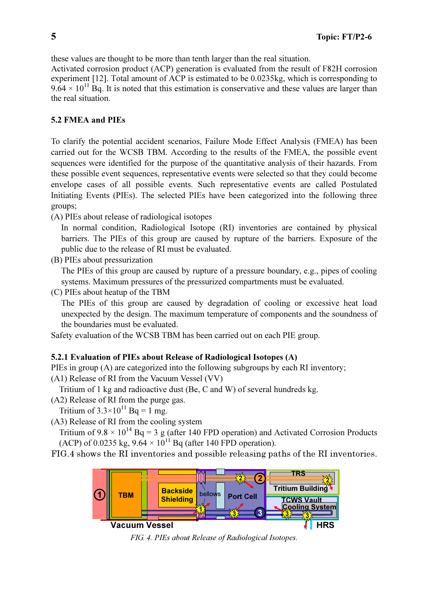these values are thought to be more than tenth larger than the real situation.

Activated corrosion product (ACP) generation is evaluated from the result of F82H corrosion experiment [12]. Total amount of ACP is estimated to be 0.0235kg, which is corresponding to  $9.64 \times 10^{11}$  Bq. It is noted that this estimation is conservative and these values are larger than the real situation.

## 5.2 FMEA and PIEs

To clarify the potential accident scenarios, Failure Mode Effect Analysis (FMEA) has been carried out for the WCSB TBM. According to the results of the FMEA, the possible event sequences were identified for the purpose of the quantitative analysis of their hazards. From these possible event sequences, representative events were selected so that they could become envelope cases of all possible events. Such representative events are called Postulated Initiating Events (PIEs). The selected PIEs have been categorized into the following three groups;

(A) PIEs about release of radiological isotopes

In normal condition, Radiological Isotope (RI) inventories are contained by physical barriers. The PIEs of this group are caused by rupture of the barriers. Exposure of the public due to the release of RI must be evaluated.

(B) PIEs about pressurization

The PIEs of this group are caused by rupture of a pressure boundary, e.g., pipes of cooling systems. Maximum pressures of the pressurized compartments must be evaluated.

(C) PIEs about heatup of the TBM

The PIEs of this group are caused by degradation of cooling or excessive heat load unexpected by the design. The maximum temperature of components and the soundness of the boundaries must be evaluated.

Safety evaluation of the WCSB TBM has been carried out on each PIE group.

## 5.2.1 Evaluation of PIEs about Release of Radiological Isotopes (A)

PIEs in group (A) are categorized into the following subgroups by each RI inventory;

(A1) Release of RI from the Vacuum Vessel (VV)

Tritium of 1 kg and radioactive dust (Be, C and W) of several hundreds kg.

(A2) Release of RI from the purge gas.

```
Tritium of 3.3 \times 10^{11} Bq = 1 mg.
```
(A3) Release of RI from the cooling system

Tritium of  $9.8 \times 10^{14}$  Bq = 3 g (after 140 FPD operation) and Activated Corrosion Products (ACP) of 0.0235 kg,  $9.64 \times 10^{11}$  Bq (after 140 FPD operation).

FIG.4 shows the RI inventories and possible releasing paths of the RI inventories.



FIG. 4. PIEs about Release of Radiological Isotopes.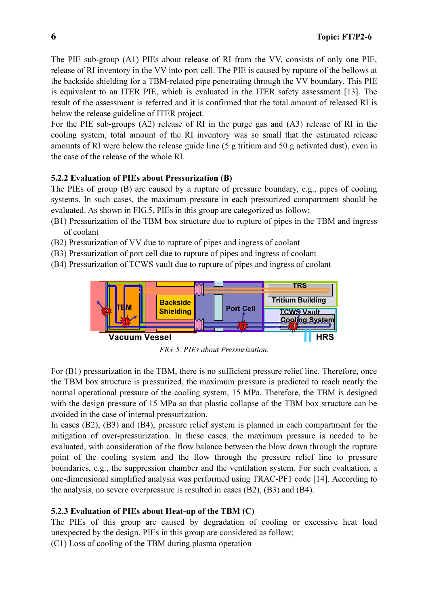The PIE sub-group (A1) PIEs about release of RI from the VV, consists of only one PIE, release of RI inventory in the VV into port cell. The PIE is caused by rupture of the bellows at the backside shielding for a TBM-related pipe penetrating through the VV boundary. This PIE is equivalent to an ITER PIE, which is evaluated in the ITER safety assessment [13]. The result of the assessment is referred and it is confirmed that the total amount of released RI is below the release guideline of ITER project.

For the PIE sub-groups (A2) release of RI in the purge gas and (A3) release of RI in the cooling system, total amount of the RI inventory was so small that the estimated release amounts of RI were below the release guide line (5 g tritium and 50 g activated dust), even in the case of the release of the whole RI.

## 5.2.2 Evaluation of PIEs about Pressurization (B)

The PIEs of group (B) are caused by a rupture of pressure boundary, e.g., pipes of cooling systems. In such cases, the maximum pressure in each pressurized compartment should be evaluated. As shown in FIG.5, PIEs in this group are categorized as follow;

- (B1) Pressurization of the TBM box structure due to rupture of pipes in the TBM and ingress of coolant
- (B2) Pressurization of VV due to rupture of pipes and ingress of coolant
- (B3) Pressurization of port cell due to rupture of pipes and ingress of coolant
- (B4) Pressurization of TCWS vault due to rupture of pipes and ingress of coolant



FIG. 5. PIEs about Pressurization.

For (B1) pressurization in the TBM, there is no sufficient pressure relief line. Therefore, once the TBM box structure is pressurized, the maximum pressure is predicted to reach nearly the normal operational pressure of the cooling system, 15 MPa. Therefore, the TBM is designed with the design pressure of 15 MPa so that plastic collapse of the TBM box structure can be avoided in the case of internal pressurization.

In cases (B2), (B3) and (B4), pressure relief system is planned in each compartment for the mitigation of over-pressurization. In these cases, the maximum pressure is needed to be evaluated, with consideration of the flow balance between the blow down through the rupture point of the cooling system and the flow through the pressure relief line to pressure boundaries, e.g., the suppression chamber and the ventilation system. For such evaluation, a one-dimensional simplified analysis was performed using TRAC-PF1 code [14]. According to the analysis, no severe overpressure is resulted in cases (B2), (B3) and (B4).

## 5.2.3 Evaluation of PIEs about Heat-up of the TBM (C)

The PIEs of this group are caused by degradation of cooling or excessive heat load unexpected by the design. PIEs in this group are considered as follow;

(C1) Loss of cooling of the TBM during plasma operation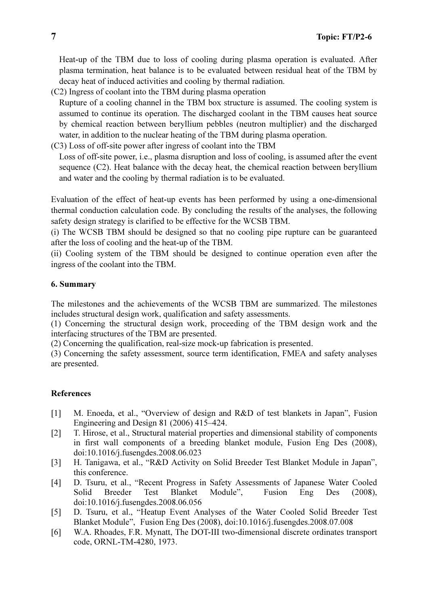Heat-up of the TBM due to loss of cooling during plasma operation is evaluated. After plasma termination, heat balance is to be evaluated between residual heat of the TBM by decay heat of induced activities and cooling by thermal radiation.

(C2) Ingress of coolant into the TBM during plasma operation

Rupture of a cooling channel in the TBM box structure is assumed. The cooling system is assumed to continue its operation. The discharged coolant in the TBM causes heat source by chemical reaction between beryllium pebbles (neutron multiplier) and the discharged water, in addition to the nuclear heating of the TBM during plasma operation.

(C3) Loss of off-site power after ingress of coolant into the TBM Loss of off-site power, i.e., plasma disruption and loss of cooling, is assumed after the event sequence (C2). Heat balance with the decay heat, the chemical reaction between beryllium and water and the cooling by thermal radiation is to be evaluated.

Evaluation of the effect of heat-up events has been performed by using a one-dimensional thermal conduction calculation code. By concluding the results of the analyses, the following safety design strategy is clarified to be effective for the WCSB TBM.

(i) The WCSB TBM should be designed so that no cooling pipe rupture can be guaranteed after the loss of cooling and the heat-up of the TBM.

(ii) Cooling system of the TBM should be designed to continue operation even after the ingress of the coolant into the TBM.

## 6. Summary

The milestones and the achievements of the WCSB TBM are summarized. The milestones includes structural design work, qualification and safety assessments.

(1) Concerning the structural design work, proceeding of the TBM design work and the interfacing structures of the TBM are presented.

(2) Concerning the qualification, real-size mock-up fabrication is presented.

(3) Concerning the safety assessment, source term identification, FMEA and safety analyses are presented.

## References

- [1] M. Enoeda, et al., "Overview of design and R&D of test blankets in Japan", Fusion Engineering and Design 81 (2006) 415–424.
- [2] T. Hirose, et al., Structural material properties and dimensional stability of components in first wall components of a breeding blanket module, Fusion Eng Des (2008), doi:10.1016/j.fusengdes.2008.06.023
- [3] H. Tanigawa, et al., "R&D Activity on Solid Breeder Test Blanket Module in Japan", this conference.
- [4] D. Tsuru, et al., "Recent Progress in Safety Assessments of Japanese Water Cooled Solid Breeder Test Blanket Module", Fusion Eng Des (2008), doi:10.1016/j.fusengdes.2008.06.056
- [5] D. Tsuru, et al., "Heatup Event Analyses of the Water Cooled Solid Breeder Test Blanket Module", Fusion Eng Des (2008), doi:10.1016/j.fusengdes.2008.07.008
- [6] W.A. Rhoades, F.R. Mynatt, The DOT-III two-dimensional discrete ordinates transport code, ORNL-TM-4280, 1973.